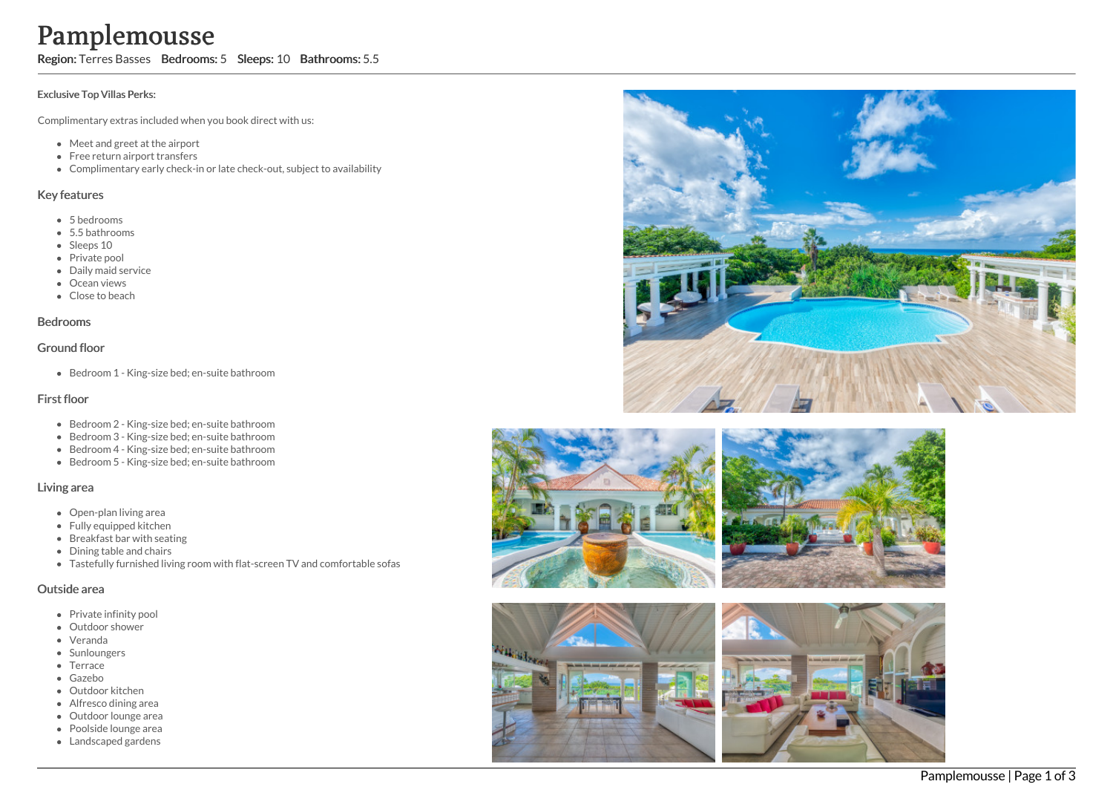# Pamplemousse

Region: Terres Basses Bedrooms: 5 Sleeps: 10 Bathrooms: 5.5

#### Exclusive Top Villas Perks:

Complimentary extras included when you book direct with us:

- Meet and greet at the airport
- Free return airport transfers
- Complimentary early check-in or late check-out, subject to availability

#### Key features

- 5 b e d r o o m s
- 5.5 bathrooms
- Sleeps 10
- Private pool
- Daily maid service
- Ocean views
- Close to beach

#### **Bedrooms**

### Ground floor

Bedroom 1 - King-size bed; en-suite bathroom

## First floor

- Bedroom 2 King-size bed; en-suite bathroom
- Bedroom 3 King-size bed; en-suite bathroom
- Bedroom 4 King-size bed; en-suite bathroom
- Bedroom 5 King-size bed; en-suite bathroom

#### Living area

- Open-plan living area
- Fully equipped kitchen
- Breakfast bar with seating
- Dining table and chairs
- Tastefully furnished living room with flat-screen TV and comfortable sofas

#### Outside area

- Private infinity pool
- Outdoor shower
- Veranda
- Sunloungers
- Terrace
- Gazebo
- Outdoor kitchen
- Alfresco dining area
- Outdoor lounge are a
- Poolside lounge area
- Landscaped gardens









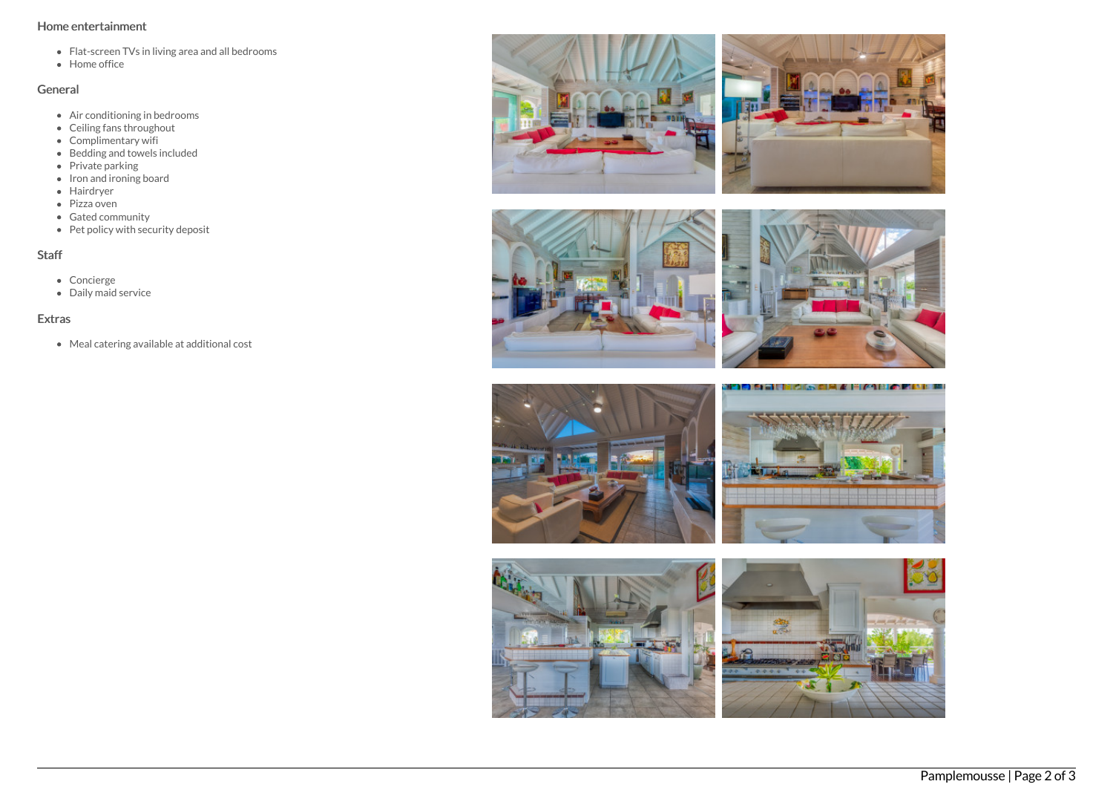## Home entertainment

- Flat-screen TVs in living area and all bedrooms
- Home office

## General

- Air conditioning in bedrooms
- Ceiling fans throughout
- Complimentary wifi
- Bedding and towels included
- Private parking
- Iron and ironing board
- Hairdryer
- Pizza oven
- Gated community
- $\bullet$  Pet policy with security deposit

# Staff

- Concierge
- Daily maid service

# Extras

Meal catering available at additional cost